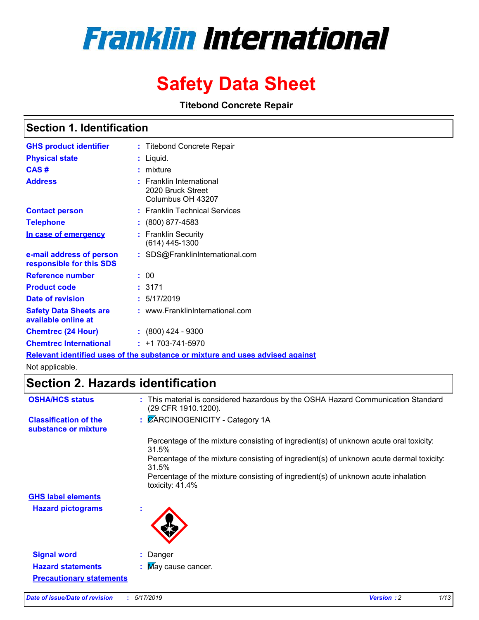# **Franklin International**

# **Safety Data Sheet**

**Titebond Concrete Repair**

### **Section 1. Identification**

| <b>GHS product identifier</b>                        | : Titebond Concrete Repair                                         |
|------------------------------------------------------|--------------------------------------------------------------------|
| <b>Physical state</b>                                | Liquid.                                                            |
| CAS#                                                 | mixture                                                            |
| <b>Address</b>                                       | : Franklin International<br>2020 Bruck Street<br>Columbus OH 43207 |
| <b>Contact person</b>                                | : Franklin Technical Services                                      |
| <b>Telephone</b>                                     | $\colon$ (800) 877-4583                                            |
| In case of emergency                                 | <b>Franklin Security</b><br>(614) 445-1300                         |
| e-mail address of person<br>responsible for this SDS | SDS@FranklinInternational.com                                      |
| Reference number                                     | : 00                                                               |
| <b>Product code</b>                                  | :3171                                                              |
| Date of revision                                     | : 5/17/2019                                                        |
| <b>Safety Data Sheets are</b><br>available online at | : www.FranklinInternational.com                                    |
| <b>Chemtrec (24 Hour)</b>                            | $\div$ (800) 424 - 9300                                            |
| <b>Chemtrec International</b>                        | $: +1703 - 741 - 5970$                                             |
|                                                      |                                                                    |

**Relevant identified uses of the substance or mixture and uses advised against**

Not applicable.

# **Section 2. Hazards identification**

| <b>OSHA/HCS status</b>                               | : This material is considered hazardous by the OSHA Hazard Communication Standard<br>(29 CFR 1910.1200). |
|------------------------------------------------------|----------------------------------------------------------------------------------------------------------|
| <b>Classification of the</b><br>substance or mixture | : CARCINOGENICITY - Category 1A                                                                          |
|                                                      | Percentage of the mixture consisting of ingredient(s) of unknown acute oral toxicity:<br>31.5%           |
|                                                      | Percentage of the mixture consisting of ingredient(s) of unknown acute dermal toxicity:<br>31.5%         |
|                                                      | Percentage of the mixture consisting of ingredient(s) of unknown acute inhalation<br>toxicity: $41.4\%$  |
| <b>GHS label elements</b>                            |                                                                                                          |
| <b>Hazard pictograms</b>                             | ×                                                                                                        |
| <b>Signal word</b>                                   | Danger                                                                                                   |
| <b>Hazard statements</b>                             | : May cause cancer.                                                                                      |
| <b>Precautionary statements</b>                      |                                                                                                          |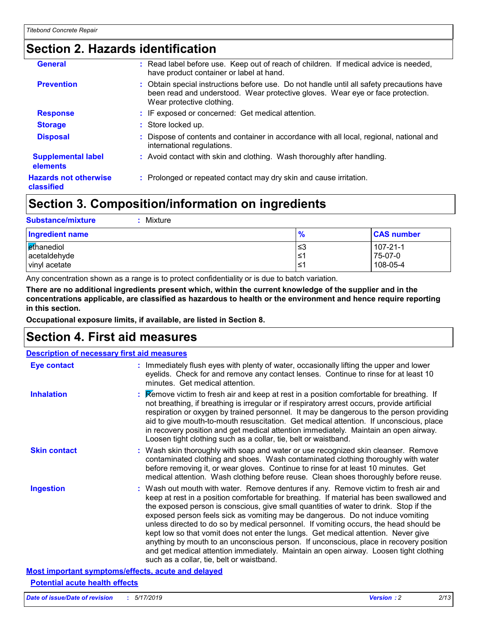# **Section 2. Hazards identification**

| <b>General</b>                             | Read label before use. Keep out of reach of children. If medical advice is needed,<br>have product container or label at hand.                                                                           |
|--------------------------------------------|----------------------------------------------------------------------------------------------------------------------------------------------------------------------------------------------------------|
| <b>Prevention</b>                          | : Obtain special instructions before use. Do not handle until all safety precautions have<br>been read and understood. Wear protective gloves. Wear eye or face protection.<br>Wear protective clothing. |
| <b>Response</b>                            | : IF exposed or concerned: Get medical attention.                                                                                                                                                        |
| <b>Storage</b>                             | : Store locked up.                                                                                                                                                                                       |
| <b>Disposal</b>                            | Dispose of contents and container in accordance with all local, regional, national and<br>international regulations.                                                                                     |
| <b>Supplemental label</b><br>elements      | : Avoid contact with skin and clothing. Wash thoroughly after handling.                                                                                                                                  |
| <b>Hazards not otherwise</b><br>classified | : Prolonged or repeated contact may dry skin and cause irritation.                                                                                                                                       |

# **Section 3. Composition/information on ingredients**

| <b>Substance/mixture</b><br>Mixture         |                   |                                       |
|---------------------------------------------|-------------------|---------------------------------------|
| <b>Ingredient name</b>                      | $\frac{9}{6}$     | <b>CAS number</b>                     |
| ethanediol<br>acetaldehyde<br>vinyl acetate | l≤3<br>1≥ا<br>1≥ا | $107 - 21 - 1$<br>75-07-0<br>108-05-4 |

Any concentration shown as a range is to protect confidentiality or is due to batch variation.

**There are no additional ingredients present which, within the current knowledge of the supplier and in the concentrations applicable, are classified as hazardous to health or the environment and hence require reporting in this section.**

**Occupational exposure limits, if available, are listed in Section 8.**

### **Section 4. First aid measures**

| <b>Description of necessary first aid measures</b>        |                                                                                                                                                                                                                                                                                                                                                                                                                                                                                                                                                                                                                                                                                                                                                                           |  |
|-----------------------------------------------------------|---------------------------------------------------------------------------------------------------------------------------------------------------------------------------------------------------------------------------------------------------------------------------------------------------------------------------------------------------------------------------------------------------------------------------------------------------------------------------------------------------------------------------------------------------------------------------------------------------------------------------------------------------------------------------------------------------------------------------------------------------------------------------|--|
| Eye contact                                               | : Immediately flush eyes with plenty of water, occasionally lifting the upper and lower<br>eyelids. Check for and remove any contact lenses. Continue to rinse for at least 10<br>minutes. Get medical attention.                                                                                                                                                                                                                                                                                                                                                                                                                                                                                                                                                         |  |
| <b>Inhalation</b>                                         | : Remove victim to fresh air and keep at rest in a position comfortable for breathing. If<br>not breathing, if breathing is irregular or if respiratory arrest occurs, provide artificial<br>respiration or oxygen by trained personnel. It may be dangerous to the person providing<br>aid to give mouth-to-mouth resuscitation. Get medical attention. If unconscious, place<br>in recovery position and get medical attention immediately. Maintain an open airway.<br>Loosen tight clothing such as a collar, tie, belt or waistband.                                                                                                                                                                                                                                 |  |
| <b>Skin contact</b>                                       | : Wash skin thoroughly with soap and water or use recognized skin cleanser. Remove<br>contaminated clothing and shoes. Wash contaminated clothing thoroughly with water<br>before removing it, or wear gloves. Continue to rinse for at least 10 minutes. Get<br>medical attention. Wash clothing before reuse. Clean shoes thoroughly before reuse.                                                                                                                                                                                                                                                                                                                                                                                                                      |  |
| <b>Ingestion</b>                                          | : Wash out mouth with water. Remove dentures if any. Remove victim to fresh air and<br>keep at rest in a position comfortable for breathing. If material has been swallowed and<br>the exposed person is conscious, give small quantities of water to drink. Stop if the<br>exposed person feels sick as vomiting may be dangerous. Do not induce vomiting<br>unless directed to do so by medical personnel. If vomiting occurs, the head should be<br>kept low so that vomit does not enter the lungs. Get medical attention. Never give<br>anything by mouth to an unconscious person. If unconscious, place in recovery position<br>and get medical attention immediately. Maintain an open airway. Loosen tight clothing<br>such as a collar, tie, belt or waistband. |  |
| <b>Most important symptoms/effects, acute and delayed</b> |                                                                                                                                                                                                                                                                                                                                                                                                                                                                                                                                                                                                                                                                                                                                                                           |  |

#### **Potential acute health effects**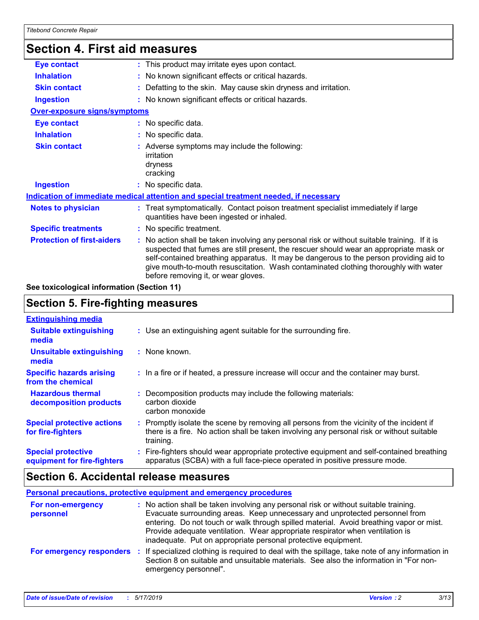| <b>Section 4. First aid measures</b> |  |                                                                                                                                                                                                                                                                                                                                                                                                                 |  |
|--------------------------------------|--|-----------------------------------------------------------------------------------------------------------------------------------------------------------------------------------------------------------------------------------------------------------------------------------------------------------------------------------------------------------------------------------------------------------------|--|
| <b>Eye contact</b>                   |  | : This product may irritate eyes upon contact.                                                                                                                                                                                                                                                                                                                                                                  |  |
| <b>Inhalation</b>                    |  | : No known significant effects or critical hazards.                                                                                                                                                                                                                                                                                                                                                             |  |
| <b>Skin contact</b>                  |  | Defatting to the skin. May cause skin dryness and irritation.                                                                                                                                                                                                                                                                                                                                                   |  |
| <b>Ingestion</b>                     |  | : No known significant effects or critical hazards.                                                                                                                                                                                                                                                                                                                                                             |  |
| Over-exposure signs/symptoms         |  |                                                                                                                                                                                                                                                                                                                                                                                                                 |  |
| <b>Eye contact</b>                   |  | : No specific data.                                                                                                                                                                                                                                                                                                                                                                                             |  |
| <b>Inhalation</b>                    |  | : No specific data.                                                                                                                                                                                                                                                                                                                                                                                             |  |
| <b>Skin contact</b>                  |  | : Adverse symptoms may include the following:<br>irritation<br>dryness<br>cracking                                                                                                                                                                                                                                                                                                                              |  |
| <b>Ingestion</b>                     |  | : No specific data.                                                                                                                                                                                                                                                                                                                                                                                             |  |
|                                      |  | Indication of immediate medical attention and special treatment needed, if necessary                                                                                                                                                                                                                                                                                                                            |  |
| <b>Notes to physician</b>            |  | : Treat symptomatically. Contact poison treatment specialist immediately if large<br>quantities have been ingested or inhaled.                                                                                                                                                                                                                                                                                  |  |
| <b>Specific treatments</b>           |  | : No specific treatment.                                                                                                                                                                                                                                                                                                                                                                                        |  |
| <b>Protection of first-aiders</b>    |  | : No action shall be taken involving any personal risk or without suitable training. If it is<br>suspected that fumes are still present, the rescuer should wear an appropriate mask or<br>self-contained breathing apparatus. It may be dangerous to the person providing aid to<br>give mouth-to-mouth resuscitation. Wash contaminated clothing thoroughly with water<br>before removing it, or wear gloves. |  |

**See toxicological information (Section 11)**

# **Section 5. Fire-fighting measures**

| <b>Extinguishing media</b>                               |                                                                                                                                                                                                   |
|----------------------------------------------------------|---------------------------------------------------------------------------------------------------------------------------------------------------------------------------------------------------|
| <b>Suitable extinguishing</b><br>media                   | : Use an extinguishing agent suitable for the surrounding fire.                                                                                                                                   |
| <b>Unsuitable extinguishing</b><br>media                 | : None known.                                                                                                                                                                                     |
| <b>Specific hazards arising</b><br>from the chemical     | : In a fire or if heated, a pressure increase will occur and the container may burst.                                                                                                             |
| <b>Hazardous thermal</b><br>decomposition products       | Decomposition products may include the following materials:<br>carbon dioxide<br>carbon monoxide                                                                                                  |
| <b>Special protective actions</b><br>for fire-fighters   | Promptly isolate the scene by removing all persons from the vicinity of the incident if<br>there is a fire. No action shall be taken involving any personal risk or without suitable<br>training. |
| <b>Special protective</b><br>equipment for fire-fighters | Fire-fighters should wear appropriate protective equipment and self-contained breathing<br>apparatus (SCBA) with a full face-piece operated in positive pressure mode.                            |

# **Section 6. Accidental release measures**

| <b>Personal precautions, protective equipment and emergency procedures</b> |                                                                                                                                                                                                                                                                                                                                                                                                                  |  |  |
|----------------------------------------------------------------------------|------------------------------------------------------------------------------------------------------------------------------------------------------------------------------------------------------------------------------------------------------------------------------------------------------------------------------------------------------------------------------------------------------------------|--|--|
| For non-emergency<br>personnel                                             | : No action shall be taken involving any personal risk or without suitable training.<br>Evacuate surrounding areas. Keep unnecessary and unprotected personnel from<br>entering. Do not touch or walk through spilled material. Avoid breathing vapor or mist.<br>Provide adequate ventilation. Wear appropriate respirator when ventilation is<br>inadequate. Put on appropriate personal protective equipment. |  |  |
| For emergency responders                                                   | : If specialized clothing is required to deal with the spillage, take note of any information in<br>Section 8 on suitable and unsuitable materials. See also the information in "For non-<br>emergency personnel".                                                                                                                                                                                               |  |  |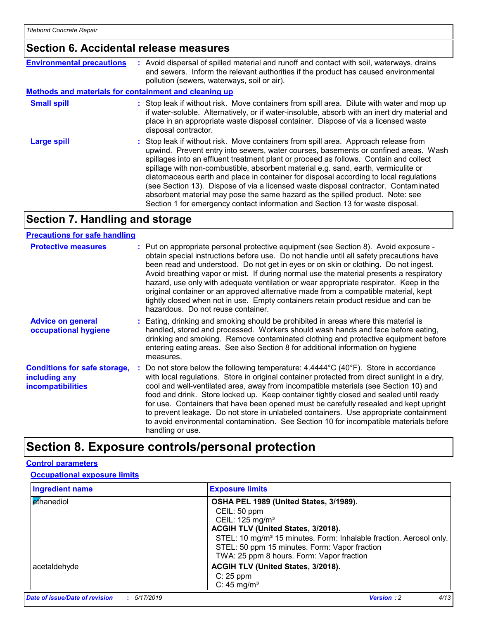### **Section 6. Accidental release measures**

| <b>Environmental precautions</b>                      | : Avoid dispersal of spilled material and runoff and contact with soil, waterways, drains<br>and sewers. Inform the relevant authorities if the product has caused environmental<br>pollution (sewers, waterways, soil or air).                                                                                                                                                                                                                                                                                                                                                                                                                                                                              |
|-------------------------------------------------------|--------------------------------------------------------------------------------------------------------------------------------------------------------------------------------------------------------------------------------------------------------------------------------------------------------------------------------------------------------------------------------------------------------------------------------------------------------------------------------------------------------------------------------------------------------------------------------------------------------------------------------------------------------------------------------------------------------------|
| Methods and materials for containment and cleaning up |                                                                                                                                                                                                                                                                                                                                                                                                                                                                                                                                                                                                                                                                                                              |
| <b>Small spill</b>                                    | : Stop leak if without risk. Move containers from spill area. Dilute with water and mop up<br>if water-soluble. Alternatively, or if water-insoluble, absorb with an inert dry material and<br>place in an appropriate waste disposal container. Dispose of via a licensed waste<br>disposal contractor.                                                                                                                                                                                                                                                                                                                                                                                                     |
| Large spill                                           | : Stop leak if without risk. Move containers from spill area. Approach release from<br>upwind. Prevent entry into sewers, water courses, basements or confined areas. Wash<br>spillages into an effluent treatment plant or proceed as follows. Contain and collect<br>spillage with non-combustible, absorbent material e.g. sand, earth, vermiculite or<br>diatomaceous earth and place in container for disposal according to local regulations<br>(see Section 13). Dispose of via a licensed waste disposal contractor. Contaminated<br>absorbent material may pose the same hazard as the spilled product. Note: see<br>Section 1 for emergency contact information and Section 13 for waste disposal. |

### **Section 7. Handling and storage**

#### **Precautions for safe handling**

| <b>Protective measures</b>                                                       | : Put on appropriate personal protective equipment (see Section 8). Avoid exposure -<br>obtain special instructions before use. Do not handle until all safety precautions have<br>been read and understood. Do not get in eyes or on skin or clothing. Do not ingest.<br>Avoid breathing vapor or mist. If during normal use the material presents a respiratory<br>hazard, use only with adequate ventilation or wear appropriate respirator. Keep in the<br>original container or an approved alternative made from a compatible material, kept<br>tightly closed when not in use. Empty containers retain product residue and can be<br>hazardous. Do not reuse container.        |
|----------------------------------------------------------------------------------|---------------------------------------------------------------------------------------------------------------------------------------------------------------------------------------------------------------------------------------------------------------------------------------------------------------------------------------------------------------------------------------------------------------------------------------------------------------------------------------------------------------------------------------------------------------------------------------------------------------------------------------------------------------------------------------|
| <b>Advice on general</b><br>occupational hygiene                                 | : Eating, drinking and smoking should be prohibited in areas where this material is<br>handled, stored and processed. Workers should wash hands and face before eating,<br>drinking and smoking. Remove contaminated clothing and protective equipment before<br>entering eating areas. See also Section 8 for additional information on hygiene<br>measures.                                                                                                                                                                                                                                                                                                                         |
| <b>Conditions for safe storage,</b><br>including any<br><b>incompatibilities</b> | : Do not store below the following temperature: $4.4444^{\circ}C(40^{\circ}F)$ . Store in accordance<br>with local regulations. Store in original container protected from direct sunlight in a dry,<br>cool and well-ventilated area, away from incompatible materials (see Section 10) and<br>food and drink. Store locked up. Keep container tightly closed and sealed until ready<br>for use. Containers that have been opened must be carefully resealed and kept upright<br>to prevent leakage. Do not store in unlabeled containers. Use appropriate containment<br>to avoid environmental contamination. See Section 10 for incompatible materials before<br>handling or use. |

# **Section 8. Exposure controls/personal protection**

#### **Control parameters**

#### **Occupational exposure limits**

| <b>Ingredient name</b> | <b>Exposure limits</b>                                                                                                                                                       |
|------------------------|------------------------------------------------------------------------------------------------------------------------------------------------------------------------------|
| ethanediol             | OSHA PEL 1989 (United States, 3/1989).                                                                                                                                       |
|                        | CEIL: 50 ppm                                                                                                                                                                 |
|                        | CEIL: 125 mg/m <sup>3</sup>                                                                                                                                                  |
|                        | ACGIH TLV (United States, 3/2018).                                                                                                                                           |
|                        | STEL: 10 mg/m <sup>3</sup> 15 minutes. Form: Inhalable fraction. Aerosol only.<br>STEL: 50 ppm 15 minutes. Form: Vapor fraction<br>TWA: 25 ppm 8 hours. Form: Vapor fraction |
| acetaldehyde           | ACGIH TLV (United States, 3/2018).                                                                                                                                           |
|                        | $C: 25$ ppm                                                                                                                                                                  |
|                        | $C: 45$ mg/m <sup>3</sup>                                                                                                                                                    |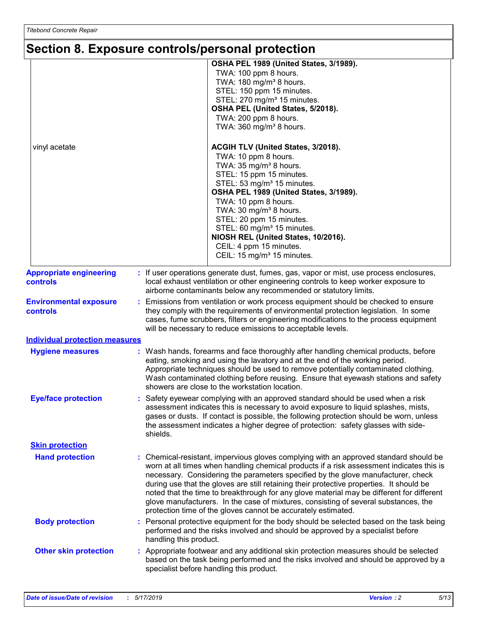# **Section 8. Exposure controls/personal protection**

|                                                   | <b>OCONON OF EXPOSURE CONNECTS PORSONIAL PROTECTION</b>                                                                                                                                                                                                                                                                                                                                                                                                                                                                                                                                                                |
|---------------------------------------------------|------------------------------------------------------------------------------------------------------------------------------------------------------------------------------------------------------------------------------------------------------------------------------------------------------------------------------------------------------------------------------------------------------------------------------------------------------------------------------------------------------------------------------------------------------------------------------------------------------------------------|
|                                                   | OSHA PEL 1989 (United States, 3/1989).<br>TWA: 100 ppm 8 hours.<br>TWA: 180 mg/m <sup>3</sup> 8 hours.<br>STEL: 150 ppm 15 minutes.<br>STEL: 270 mg/m <sup>3</sup> 15 minutes.<br>OSHA PEL (United States, 5/2018).<br>TWA: 200 ppm 8 hours.<br>TWA: 360 mg/m <sup>3</sup> 8 hours.                                                                                                                                                                                                                                                                                                                                    |
| vinyl acetate                                     | ACGIH TLV (United States, 3/2018).<br>TWA: 10 ppm 8 hours.<br>TWA: 35 mg/m <sup>3</sup> 8 hours.<br>STEL: 15 ppm 15 minutes.<br>STEL: 53 mg/m <sup>3</sup> 15 minutes.<br>OSHA PEL 1989 (United States, 3/1989).<br>TWA: 10 ppm 8 hours.<br>TWA: 30 mg/m <sup>3</sup> 8 hours.<br>STEL: 20 ppm 15 minutes.<br>STEL: 60 mg/m <sup>3</sup> 15 minutes.<br>NIOSH REL (United States, 10/2016).<br>CEIL: 4 ppm 15 minutes.<br>CEIL: 15 mg/m <sup>3</sup> 15 minutes.                                                                                                                                                       |
| <b>Appropriate engineering</b><br><b>controls</b> | : If user operations generate dust, fumes, gas, vapor or mist, use process enclosures,<br>local exhaust ventilation or other engineering controls to keep worker exposure to<br>airborne contaminants below any recommended or statutory limits.                                                                                                                                                                                                                                                                                                                                                                       |
| <b>Environmental exposure</b><br>controls         | Emissions from ventilation or work process equipment should be checked to ensure<br>they comply with the requirements of environmental protection legislation. In some<br>cases, fume scrubbers, filters or engineering modifications to the process equipment<br>will be necessary to reduce emissions to acceptable levels.                                                                                                                                                                                                                                                                                          |
| <b>Individual protection measures</b>             |                                                                                                                                                                                                                                                                                                                                                                                                                                                                                                                                                                                                                        |
| <b>Hygiene measures</b>                           | : Wash hands, forearms and face thoroughly after handling chemical products, before<br>eating, smoking and using the lavatory and at the end of the working period.<br>Appropriate techniques should be used to remove potentially contaminated clothing.<br>Wash contaminated clothing before reusing. Ensure that eyewash stations and safety<br>showers are close to the workstation location.                                                                                                                                                                                                                      |
| <b>Eye/face protection</b>                        | : Safety eyewear complying with an approved standard should be used when a risk<br>assessment indicates this is necessary to avoid exposure to liquid splashes, mists,<br>gases or dusts. If contact is possible, the following protection should be worn, unless<br>the assessment indicates a higher degree of protection: safety glasses with side-<br>shields.                                                                                                                                                                                                                                                     |
| <b>Skin protection</b>                            |                                                                                                                                                                                                                                                                                                                                                                                                                                                                                                                                                                                                                        |
| <b>Hand protection</b>                            | : Chemical-resistant, impervious gloves complying with an approved standard should be<br>worn at all times when handling chemical products if a risk assessment indicates this is<br>necessary. Considering the parameters specified by the glove manufacturer, check<br>during use that the gloves are still retaining their protective properties. It should be<br>noted that the time to breakthrough for any glove material may be different for different<br>glove manufacturers. In the case of mixtures, consisting of several substances, the<br>protection time of the gloves cannot be accurately estimated. |
| <b>Body protection</b>                            | Personal protective equipment for the body should be selected based on the task being<br>performed and the risks involved and should be approved by a specialist before<br>handling this product.                                                                                                                                                                                                                                                                                                                                                                                                                      |
| <b>Other skin protection</b>                      | : Appropriate footwear and any additional skin protection measures should be selected<br>based on the task being performed and the risks involved and should be approved by a<br>specialist before handling this product.                                                                                                                                                                                                                                                                                                                                                                                              |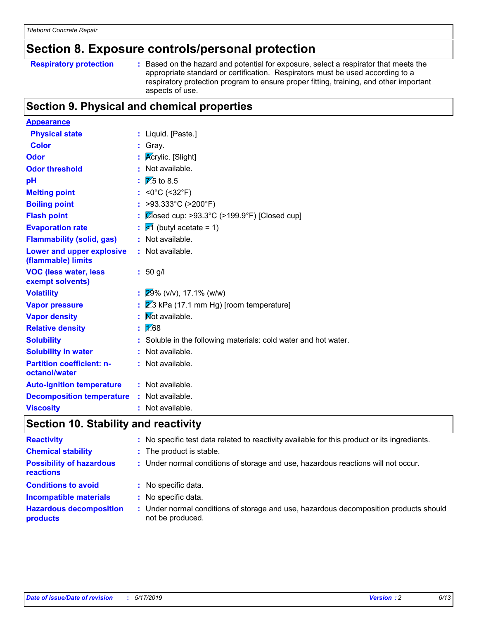# **Section 8. Exposure controls/personal protection**

| <b>Respiratory protection</b> | : Based on the hazard and potential for exposure, select a respirator that meets the   |
|-------------------------------|----------------------------------------------------------------------------------------|
|                               | appropriate standard or certification. Respirators must be used according to a         |
|                               | respiratory protection program to ensure proper fitting, training, and other important |
|                               | aspects of use.                                                                        |

# **Section 9. Physical and chemical properties**

| <b>Appearance</b>                                 |                                                                 |
|---------------------------------------------------|-----------------------------------------------------------------|
| <b>Physical state</b>                             | : Liquid. [Paste.]                                              |
| <b>Color</b>                                      | $:$ Gray.                                                       |
| <b>Odor</b>                                       | <b>Acrylic.</b> [Slight]                                        |
| <b>Odor threshold</b>                             | : Not available.                                                |
| pH                                                | $\overline{\mathbb{Z}}$ .5 to 8.5                               |
| <b>Melting point</b>                              | : <0°C (<32°F)                                                  |
| <b>Boiling point</b>                              | : >93.333°C (>200°F)                                            |
| <b>Flash point</b>                                | : $\mathcal{C}$ losed cup: >93.3°C (>199.9°F) [Closed cup]      |
| <b>Evaporation rate</b>                           | $\frac{1}{5}$ (butyl acetate = 1)                               |
| <b>Flammability (solid, gas)</b>                  | : Not available.                                                |
| Lower and upper explosive<br>(flammable) limits   | : Not available.                                                |
| <b>VOC (less water, less</b><br>exempt solvents)  | $: 50$ g/l                                                      |
| <b>Volatility</b>                                 | $: 29\%$ (v/v), 17.1% (w/w)                                     |
| <b>Vapor pressure</b>                             | 2.3 kPa (17.1 mm Hg) [room temperature]                         |
| <b>Vapor density</b>                              | : Mot available.                                                |
| <b>Relative density</b>                           | : 1/68                                                          |
| <b>Solubility</b>                                 | : Soluble in the following materials: cold water and hot water. |
| <b>Solubility in water</b>                        | : Not available.                                                |
| <b>Partition coefficient: n-</b><br>octanol/water | : Not available.                                                |
| <b>Auto-ignition temperature</b>                  | : Not available.                                                |
| <b>Decomposition temperature</b>                  | : Not available.                                                |
| <b>Viscosity</b>                                  | : Not available.                                                |

# **Section 10. Stability and reactivity**

| <b>Reactivity</b>                                   |    | No specific test data related to reactivity available for this product or its ingredients.              |
|-----------------------------------------------------|----|---------------------------------------------------------------------------------------------------------|
| <b>Chemical stability</b>                           |    | : The product is stable.                                                                                |
| <b>Possibility of hazardous</b><br><b>reactions</b> |    | : Under normal conditions of storage and use, hazardous reactions will not occur.                       |
| <b>Conditions to avoid</b>                          | ÷. | No specific data.                                                                                       |
| <b>Incompatible materials</b>                       |    | No specific data.                                                                                       |
| <b>Hazardous decomposition</b><br>products          | ÷. | Under normal conditions of storage and use, hazardous decomposition products should<br>not be produced. |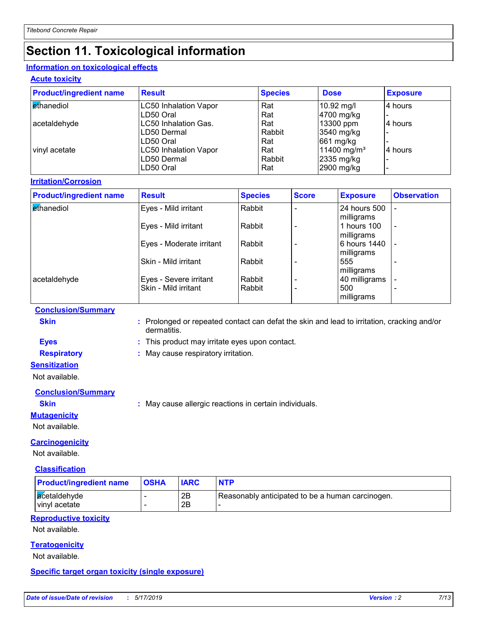# **Section 11. Toxicological information**

#### **Information on toxicological effects**

**Acute toxicity**

| <b>Product/ingredient name</b> | <b>Result</b>                |                | <b>Species</b> |              | <b>Dose</b> |                         | <b>Exposure</b>    |
|--------------------------------|------------------------------|----------------|----------------|--------------|-------------|-------------------------|--------------------|
| ethanediol                     | <b>LC50 Inhalation Vapor</b> |                | Rat            |              |             | 10.92 mg/l              | 4 hours            |
|                                | LD50 Oral                    |                | Rat            |              |             | 4700 mg/kg              |                    |
| acetaldehyde                   | LC50 Inhalation Gas.         |                | Rat            |              |             | 13300 ppm               | 4 hours            |
|                                | LD50 Dermal                  |                | Rabbit         |              |             | 3540 mg/kg              |                    |
|                                | LD50 Oral                    |                | Rat            |              |             | 661 mg/kg               |                    |
| vinyl acetate                  | <b>LC50 Inhalation Vapor</b> |                | Rat            |              |             | 11400 mg/m <sup>3</sup> | 4 hours            |
|                                | LD50 Dermal                  |                | Rabbit         |              |             | 2335 mg/kg              |                    |
|                                | LD50 Oral                    |                | Rat            |              |             | 2900 mg/kg              |                    |
| <b>Irritation/Corrosion</b>    |                              |                |                |              |             |                         |                    |
| <b>Product/ingredient name</b> | <b>Result</b>                | <b>Species</b> |                | <b>Score</b> |             | <b>Exposure</b>         | <b>Observation</b> |
| ethanediol                     | Eyes - Mild irritant         | Rabbit         |                |              |             | 24 hours 500            |                    |
|                                |                              |                |                |              |             | milligrams              |                    |
|                                | Eyes - Mild irritant         | Rabbit         |                |              |             | 1 hours 100             |                    |

| Eves - Mila Imitant      | Rappil |                                      | i nours tuu | $\overline{\phantom{a}}$                                                              |
|--------------------------|--------|--------------------------------------|-------------|---------------------------------------------------------------------------------------|
|                          |        |                                      |             |                                                                                       |
| Eyes - Moderate irritant |        |                                      |             |                                                                                       |
|                          |        |                                      |             |                                                                                       |
| Skin - Mild irritant     |        |                                      | 555         | $\overline{\phantom{0}}$                                                              |
|                          |        |                                      |             |                                                                                       |
| Eyes - Severe irritant   |        |                                      |             |                                                                                       |
| Skin - Mild irritant     |        |                                      | 500         |                                                                                       |
|                          |        |                                      |             |                                                                                       |
|                          |        | Rabbit<br>Rabbit<br>Rabbit<br>Rabbit |             | milligrams<br>6 hours 1440<br>milligrams<br>milligrams<br>40 milligrams<br>milligrams |

#### **Conclusion/Summary**

**Skin :** Prolonged or repeated contact can defat the skin and lead to irritation, cracking and/or dermatitis.

# **Eyes :** This product may irritate eyes upon contact.

**Respiratory :** May cause respiratory irritation.

#### **Sensitization**

Not available.

#### **Conclusion/Summary**

**Skin :** May cause allergic reactions in certain individuals.

#### **Mutagenicity**

Not available.

#### **Carcinogenicity**

Not available.

#### **Classification**

| <b>Product/ingredient name</b> | <b>OSHA</b> | <b>IARC</b> | <b>NTP</b>                                       |
|--------------------------------|-------------|-------------|--------------------------------------------------|
| acetaldehyde<br>vinyl acetate  |             | 2B<br>2B    | Reasonably anticipated to be a human carcinogen. |

#### **Reproductive toxicity**

Not available.

#### **Teratogenicity**

Not available.

#### **Specific target organ toxicity (single exposure)**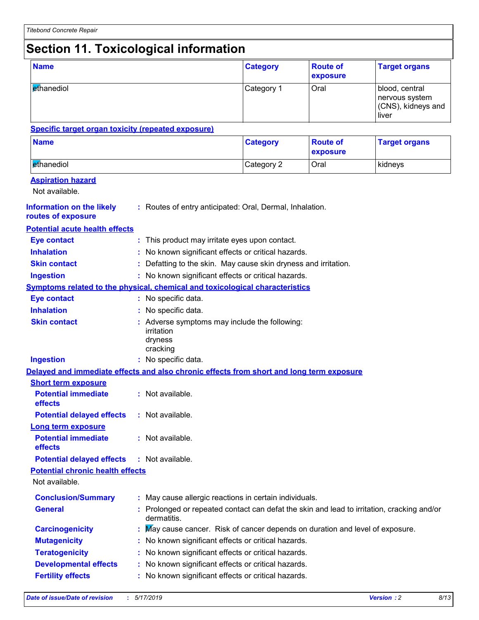# **Section 11. Toxicological information**

| <b>Name</b>                                                                              |                                                                                                         | <b>Category</b> | <b>Route of</b><br>exposure | <b>Target organs</b>                                            |
|------------------------------------------------------------------------------------------|---------------------------------------------------------------------------------------------------------|-----------------|-----------------------------|-----------------------------------------------------------------|
| ethanediol                                                                               |                                                                                                         | Category 1      | Oral                        | blood, central<br>nervous system<br>(CNS), kidneys and<br>liver |
| <b>Specific target organ toxicity (repeated exposure)</b>                                |                                                                                                         |                 |                             |                                                                 |
| <b>Name</b>                                                                              |                                                                                                         | <b>Category</b> | <b>Route of</b><br>exposure | <b>Target organs</b>                                            |
| ethanediol                                                                               |                                                                                                         | Category 2      | Oral                        | kidneys                                                         |
| <b>Aspiration hazard</b><br>Not available.                                               |                                                                                                         |                 |                             |                                                                 |
| <b>Information on the likely</b><br>routes of exposure                                   | : Routes of entry anticipated: Oral, Dermal, Inhalation.                                                |                 |                             |                                                                 |
| <b>Potential acute health effects</b>                                                    |                                                                                                         |                 |                             |                                                                 |
| <b>Eye contact</b>                                                                       | : This product may irritate eyes upon contact.                                                          |                 |                             |                                                                 |
| <b>Inhalation</b>                                                                        | No known significant effects or critical hazards.                                                       |                 |                             |                                                                 |
| <b>Skin contact</b>                                                                      | : Defatting to the skin. May cause skin dryness and irritation.                                         |                 |                             |                                                                 |
| <b>Ingestion</b>                                                                         | : No known significant effects or critical hazards.                                                     |                 |                             |                                                                 |
| <b>Symptoms related to the physical, chemical and toxicological characteristics</b>      |                                                                                                         |                 |                             |                                                                 |
| <b>Eye contact</b>                                                                       | : No specific data.                                                                                     |                 |                             |                                                                 |
| <b>Inhalation</b>                                                                        | No specific data.                                                                                       |                 |                             |                                                                 |
| <b>Skin contact</b>                                                                      | : Adverse symptoms may include the following:<br>irritation<br>dryness<br>cracking                      |                 |                             |                                                                 |
| <b>Ingestion</b>                                                                         | : No specific data.                                                                                     |                 |                             |                                                                 |
| Delayed and immediate effects and also chronic effects from short and long term exposure |                                                                                                         |                 |                             |                                                                 |
| <b>Short term exposure</b>                                                               |                                                                                                         |                 |                             |                                                                 |
| <b>Potential immediate</b><br>effects                                                    | : Not available.                                                                                        |                 |                             |                                                                 |
| <b>Potential delayed effects</b>                                                         | : Not available.                                                                                        |                 |                             |                                                                 |
| <b>Long term exposure</b><br><b>Potential immediate</b><br>effects                       | : Not available.                                                                                        |                 |                             |                                                                 |
| <b>Potential delayed effects</b>                                                         | : Not available.                                                                                        |                 |                             |                                                                 |
| <b>Potential chronic health effects</b>                                                  |                                                                                                         |                 |                             |                                                                 |
| Not available.                                                                           |                                                                                                         |                 |                             |                                                                 |
| <b>Conclusion/Summary</b>                                                                | : May cause allergic reactions in certain individuals.                                                  |                 |                             |                                                                 |
| <b>General</b>                                                                           | Prolonged or repeated contact can defat the skin and lead to irritation, cracking and/or<br>dermatitis. |                 |                             |                                                                 |
| <b>Carcinogenicity</b>                                                                   | May cause cancer. Risk of cancer depends on duration and level of exposure.                             |                 |                             |                                                                 |
| <b>Mutagenicity</b>                                                                      | : No known significant effects or critical hazards.                                                     |                 |                             |                                                                 |
| <b>Teratogenicity</b>                                                                    | No known significant effects or critical hazards.                                                       |                 |                             |                                                                 |
| <b>Developmental effects</b>                                                             | No known significant effects or critical hazards.                                                       |                 |                             |                                                                 |
| <b>Fertility effects</b>                                                                 | No known significant effects or critical hazards.                                                       |                 |                             |                                                                 |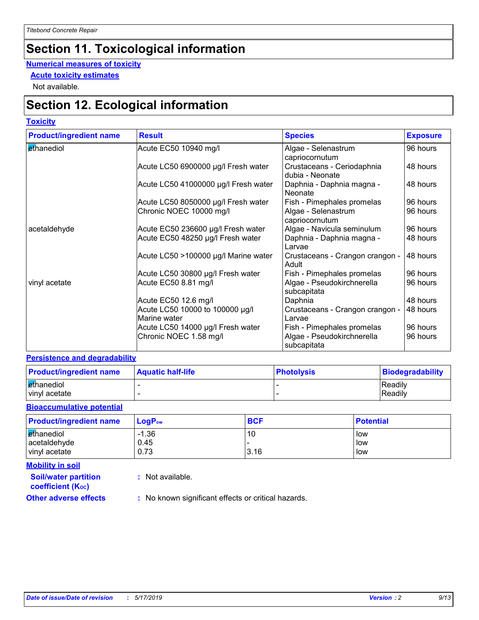# **Section 11. Toxicological information**

#### **Numerical measures of toxicity**

**Acute toxicity estimates**

Not available.

# **Section 12. Ecological information**

#### **Toxicity**

| <b>Product/ingredient name</b> | <b>Result</b>                                   | <b>Species</b>                                | <b>Exposure</b> |
|--------------------------------|-------------------------------------------------|-----------------------------------------------|-----------------|
| ethanediol                     | Acute EC50 10940 mg/l                           | Algae - Selenastrum<br>capriocornutum         | 96 hours        |
|                                | Acute LC50 6900000 µg/l Fresh water             | Crustaceans - Ceriodaphnia<br>dubia - Neonate | 48 hours        |
|                                | Acute LC50 41000000 µg/l Fresh water            | Daphnia - Daphnia magna -<br>Neonate          | 48 hours        |
|                                | Acute LC50 8050000 µg/l Fresh water             | Fish - Pimephales promelas                    | 96 hours        |
|                                | Chronic NOEC 10000 mg/l                         | Algae - Selenastrum<br>capriocornutum         | 96 hours        |
| acetaldehyde                   | Acute EC50 236600 µg/l Fresh water              | Algae - Navicula seminulum                    | 96 hours        |
|                                | Acute EC50 48250 µg/l Fresh water               | Daphnia - Daphnia magna -<br>l Larvae         | 48 hours        |
|                                | Acute LC50 >100000 µg/l Marine water            | Crustaceans - Crangon crangon -<br>Adult      | 48 hours        |
|                                | Acute LC50 30800 µg/l Fresh water               | Fish - Pimephales promelas                    | 96 hours        |
| vinyl acetate                  | Acute EC50 8.81 mg/l                            | Algae - Pseudokirchnerella<br>subcapitata     | 96 hours        |
|                                | Acute EC50 12.6 mg/l                            | Daphnia                                       | 48 hours        |
|                                | Acute LC50 10000 to 100000 µg/l<br>Marine water | Crustaceans - Crangon crangon -<br>Larvae     | 48 hours        |
|                                | Acute LC50 14000 µg/l Fresh water               | Fish - Pimephales promelas                    | 96 hours        |
|                                | Chronic NOEC 1.58 mg/l                          | Algae - Pseudokirchnerella<br>subcapitata     | 96 hours        |

#### **Persistence and degradability**

| <b>Product/ingredient name</b> | <b>Aquatic half-life</b> | <b>Photolysis</b> | Biodegradability |
|--------------------------------|--------------------------|-------------------|------------------|
| ethanediol                     |                          |                   | Readily          |
| vinyl acetate                  |                          |                   | Readily          |

#### **Bioaccumulative potential**

| <b>Product/ingredient name</b> | $LogP_{ow}$ | <b>BCF</b> | <b>Potential</b> |
|--------------------------------|-------------|------------|------------------|
| ethanediol                     | $-1.36$     | 10         | low              |
| acetaldehyde                   | 0.45        |            | low              |
| vinyl acetate                  | 0.73        | 3.16       | low              |

**Mobility in soil**

**:** Not available.

**coefficient (KOC)**

**Soil/water partition** 

**Other adverse effects** : No known significant effects or critical hazards.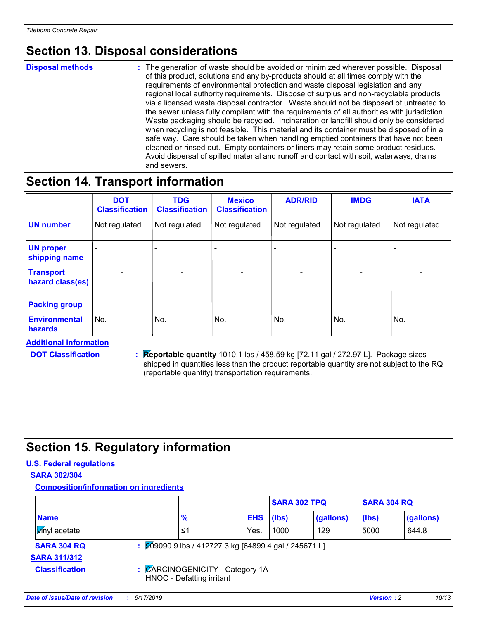# **Section 13. Disposal considerations**

**Disposal methods :**

The generation of waste should be avoided or minimized wherever possible. Disposal of this product, solutions and any by-products should at all times comply with the requirements of environmental protection and waste disposal legislation and any regional local authority requirements. Dispose of surplus and non-recyclable products via a licensed waste disposal contractor. Waste should not be disposed of untreated to the sewer unless fully compliant with the requirements of all authorities with jurisdiction. Waste packaging should be recycled. Incineration or landfill should only be considered when recycling is not feasible. This material and its container must be disposed of in a safe way. Care should be taken when handling emptied containers that have not been cleaned or rinsed out. Empty containers or liners may retain some product residues. Avoid dispersal of spilled material and runoff and contact with soil, waterways, drains and sewers.

### **Section 14. Transport information**

|                                      | <b>DOT</b><br><b>Classification</b> | <b>TDG</b><br><b>Classification</b> | <b>Mexico</b><br><b>Classification</b> | <b>ADR/RID</b> | <b>IMDG</b>    | <b>IATA</b>    |
|--------------------------------------|-------------------------------------|-------------------------------------|----------------------------------------|----------------|----------------|----------------|
| <b>UN number</b>                     | Not regulated.                      | Not regulated.                      | Not regulated.                         | Not regulated. | Not regulated. | Not regulated. |
| <b>UN proper</b><br>shipping name    |                                     |                                     |                                        |                |                |                |
| <b>Transport</b><br>hazard class(es) |                                     |                                     |                                        |                |                | $\blacksquare$ |
| <b>Packing group</b>                 |                                     |                                     |                                        |                |                |                |
| <b>Environmental</b><br>hazards      | No.                                 | No.                                 | No.                                    | No.            | No.            | No.            |

**Additional information**

**DOT Classification :**

**Reportable quantity** 1010.1 lbs / 458.59 kg [72.11 gal / 272.97 L]. Package sizes shipped in quantities less than the product reportable quantity are not subject to the RQ (reportable quantity) transportation requirements.

# **Section 15. Regulatory information**

#### **U.S. Federal regulations**

**SARA 302/304**

**Composition/information on ingredients**

|                                           |                                                                   |            | <b>SARA 302 TPQ</b> |           | <b>SARA 304 RQ</b> |           |  |
|-------------------------------------------|-------------------------------------------------------------------|------------|---------------------|-----------|--------------------|-----------|--|
| <b>Name</b>                               | $\frac{9}{6}$                                                     | <b>EHS</b> | (lbs)               | (gallons) | (Ibs)              | (gallons) |  |
| <b>V</b> inyl acetate                     | ≤1                                                                | Yes.       | 1000                | 129       | 5000               | 644.8     |  |
| <b>SARA 304 RQ</b><br><b>SARA 311/312</b> | $\frac{1}{2}$ 909090.9 lbs / 412727.3 kg [64899.4 gal / 245671 L] |            |                     |           |                    |           |  |
| <b>Classification</b>                     | : CARCINOGENICITY - Category 1A<br>HNOC - Defatting irritant      |            |                     |           |                    |           |  |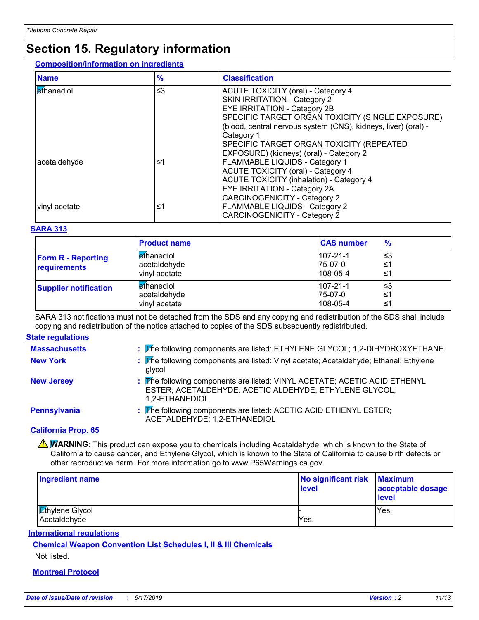# **Section 15. Regulatory information**

#### **Composition/information on ingredients**

| <b>Name</b>   | $\frac{9}{6}$ | <b>Classification</b>                                               |
|---------------|---------------|---------------------------------------------------------------------|
| Ethanediol    | $\leq$ 3      | <b>ACUTE TOXICITY (oral) - Category 4</b>                           |
|               |               | <b>SKIN IRRITATION - Category 2</b><br>EYE IRRITATION - Category 2B |
|               |               |                                                                     |
|               |               | SPECIFIC TARGET ORGAN TOXICITY (SINGLE EXPOSURE)                    |
|               |               | (blood, central nervous system (CNS), kidneys, liver) (oral) -      |
|               |               | Category 1                                                          |
|               |               | SPECIFIC TARGET ORGAN TOXICITY (REPEATED                            |
|               |               | EXPOSURE) (kidneys) (oral) - Category 2                             |
| acetaldehyde  | ≤1            | <b>FLAMMABLE LIQUIDS - Category 1</b>                               |
|               |               | ACUTE TOXICITY (oral) - Category 4                                  |
|               |               | <b>ACUTE TOXICITY (inhalation) - Category 4</b>                     |
|               |               | <b>EYE IRRITATION - Category 2A</b>                                 |
|               |               | <b>CARCINOGENICITY - Category 2</b>                                 |
| vinyl acetate | ≤1            | <b>FLAMMABLE LIQUIDS - Category 2</b>                               |
|               |               | <b>CARCINOGENICITY - Category 2</b>                                 |

#### **SARA 313**

|                                           | <b>Product name</b>                                | <b>CAS number</b>                             | $\frac{9}{6}$     |
|-------------------------------------------|----------------------------------------------------|-----------------------------------------------|-------------------|
| <b>Form R - Reporting</b><br>requirements | <b>ethanediol</b><br>acetaldehyde<br>vinyl acetate | $107 - 21 - 1$<br>$75-07-0$<br>$108 - 05 - 4$ | l≤3<br>∣≤1<br>∣≤1 |
| <b>Supplier notification</b>              | <b>ethanediol</b><br>acetaldehyde<br>vinyl acetate | $107 - 21 - 1$<br>$75-07-0$<br>$108 - 05 - 4$ | l≤3<br>∣≤1<br>∣≤1 |

SARA 313 notifications must not be detached from the SDS and any copying and redistribution of the SDS shall include copying and redistribution of the notice attached to copies of the SDS subsequently redistributed.

#### **State regulations**

| <b>Massachusetts</b> | : The following components are listed: ETHYLENE GLYCOL; 1,2-DIHYDROXYETHANE                                                                           |
|----------------------|-------------------------------------------------------------------------------------------------------------------------------------------------------|
| <b>New York</b>      | : The following components are listed: Vinyl acetate; Acetaldehyde; Ethanal; Ethylene<br>glycol                                                       |
| <b>New Jersey</b>    | : The following components are listed: VINYL ACETATE; ACETIC ACID ETHENYL<br>ESTER; ACETALDEHYDE; ACETIC ALDEHYDE; ETHYLENE GLYCOL;<br>1,2-ETHANEDIOL |
| <b>Pennsylvania</b>  | : The following components are listed: ACETIC ACID ETHENYL ESTER;<br>ACETALDEHYDE; 1,2-ETHANEDIOL                                                     |

#### **California Prop. 65**

**A WARNING**: This product can expose you to chemicals including Acetaldehyde, which is known to the State of California to cause cancer, and Ethylene Glycol, which is known to the State of California to cause birth defects or other reproductive harm. For more information go to www.P65Warnings.ca.gov.

| <b>Ingredient name</b>                 | No significant risk<br>level | <b>Maximum</b><br>acceptable dosage<br>level |
|----------------------------------------|------------------------------|----------------------------------------------|
| <b>Ethylene Glycol</b><br>Acetaldehyde | Yes.                         | Yes.                                         |

#### **International regulations**

**Chemical Weapon Convention List Schedules I, II & III Chemicals** Not listed.

#### **Montreal Protocol**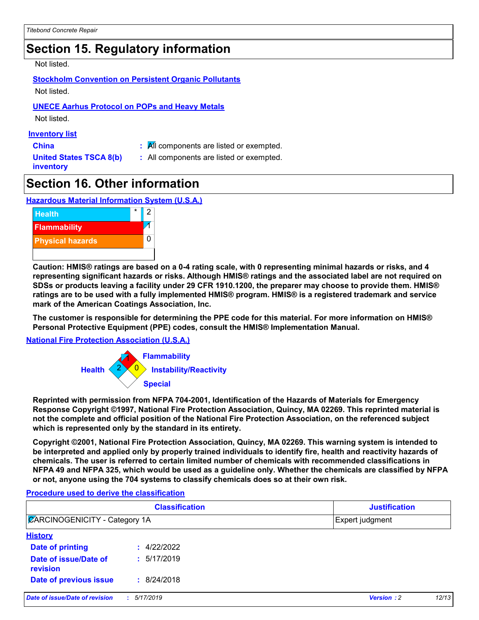# **Section 15. Regulatory information**

Not listed.

**Stockholm Convention on Persistent Organic Pollutants** Not listed.

#### **UNECE Aarhus Protocol on POPs and Heavy Metals**

Not listed.

#### **Inventory list**

**China :** All components are listed or exempted.

**United States TSCA 8(b) inventory**

**:** All components are listed or exempted.

### **Section 16. Other information**

**Hazardous Material Information System (U.S.A.)**



**Caution: HMIS® ratings are based on a 0-4 rating scale, with 0 representing minimal hazards or risks, and 4 representing significant hazards or risks. Although HMIS® ratings and the associated label are not required on SDSs or products leaving a facility under 29 CFR 1910.1200, the preparer may choose to provide them. HMIS® ratings are to be used with a fully implemented HMIS® program. HMIS® is a registered trademark and service mark of the American Coatings Association, Inc.**

**The customer is responsible for determining the PPE code for this material. For more information on HMIS® Personal Protective Equipment (PPE) codes, consult the HMIS® Implementation Manual.**

#### **National Fire Protection Association (U.S.A.)**



**Reprinted with permission from NFPA 704-2001, Identification of the Hazards of Materials for Emergency Response Copyright ©1997, National Fire Protection Association, Quincy, MA 02269. This reprinted material is not the complete and official position of the National Fire Protection Association, on the referenced subject which is represented only by the standard in its entirety.**

**Copyright ©2001, National Fire Protection Association, Quincy, MA 02269. This warning system is intended to be interpreted and applied only by properly trained individuals to identify fire, health and reactivity hazards of chemicals. The user is referred to certain limited number of chemicals with recommended classifications in NFPA 49 and NFPA 325, which would be used as a guideline only. Whether the chemicals are classified by NFPA or not, anyone using the 704 systems to classify chemicals does so at their own risk.**

#### **Procedure used to derive the classification**

| <b>Classification</b><br><b>ZARCINOGENICITY - Category 1A</b> |             | <b>Justification</b><br>Expert judgment |  |  |
|---------------------------------------------------------------|-------------|-----------------------------------------|--|--|
|                                                               |             |                                         |  |  |
| Date of printing                                              | : 4/22/2022 |                                         |  |  |
| Date of issue/Date of<br>revision                             | : 5/17/2019 |                                         |  |  |
| Date of previous issue                                        | : 8/24/2018 |                                         |  |  |
| Date of issue/Date of revision                                | : 5/17/2019 | <b>Version: 2</b><br>12/13              |  |  |